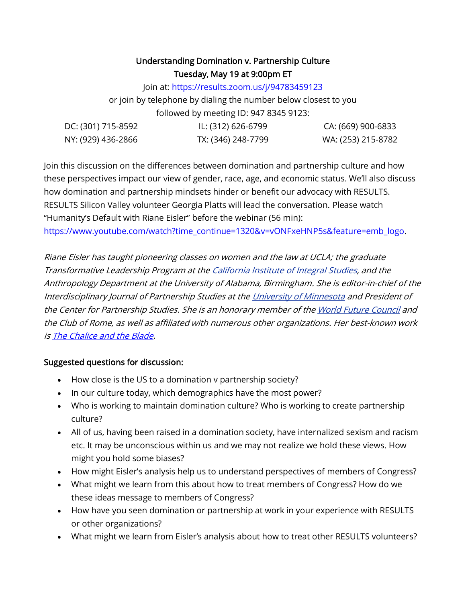# Understanding Domination v. Partnership Culture Tuesday, May 19 at 9:00pm ET

Join at[: https://results.zoom.us/j/94783459123](https://results.zoom.us/j/94783459123)

or join by telephone by dialing the number below closest to you followed by meeting ID: 947 8345 9123:

| DC: (301) 715-8592 | IL: (312) 626-6799 | CA: (669) 900-6833 |
|--------------------|--------------------|--------------------|
| NY: (929) 436-2866 | TX: (346) 248-7799 | WA: (253) 215-8782 |

Join this discussion on the differences between domination and partnership culture and how these perspectives impact our view of gender, race, age, and economic status. We'll also discuss how domination and partnership mindsets hinder or benefit our advocacy with RESULTS. RESULTS Silicon Valley volunteer Georgia Platts will lead the conversation. Please watch "Humanity's Default with Riane Eisler" before the webinar (56 min): [https://www.youtube.com/watch?time\\_continue=1320&v=vONFxeHNP5s&feature=emb\\_logo.](https://www.youtube.com/watch?time_continue=1320&v=vONFxeHNP5s&feature=emb_logo)

Riane Eisler has taught pioneering classes on women and the law at UCLA; the graduate Transformative Leadership Program at th[e California Institute of Integral Studies,](https://en.wikipedia.org/wiki/California_Institute_of_Integral_Studies) and the Anthropology Department at the University of Alabama, Birmingham. She is editor-in-chief of the Interdisciplinary Journal of Partnership Studies at th[e University of Minnesota](https://en.wikipedia.org/wiki/University_of_Minnesota) and President of the Center for Partnership Studies. She is an honorary member of th[e World Future Council](https://en.wikipedia.org/wiki/World_Future_Council) and the Club of Rome, as well as affiliated with numerous other organizations. Her best-known work i[s The Chalice and the Blade.](https://www.goodreads.com/book/show/470367.The_Chalice_and_the_Blade)

## Suggested questions for discussion:

- How close is the US to a domination v partnership society?
- In our culture today, which demographics have the most power?
- Who is working to maintain domination culture? Who is working to create partnership culture?
- All of us, having been raised in a domination society, have internalized sexism and racism etc. It may be unconscious within us and we may not realize we hold these views. How might you hold some biases?
- How might Eisler's analysis help us to understand perspectives of members of Congress?
- What might we learn from this about how to treat members of Congress? How do we these ideas message to members of Congress?
- How have you seen domination or partnership at work in your experience with RESULTS or other organizations?
- What might we learn from Eisler's analysis about how to treat other RESULTS volunteers?